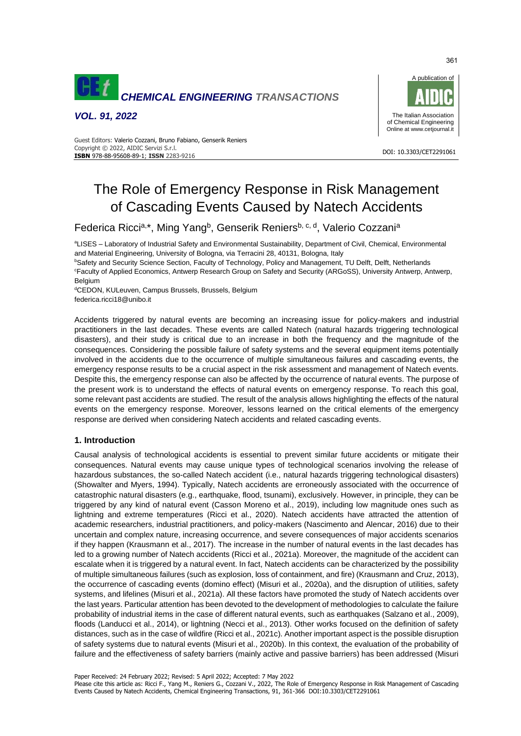

*VOL. 91, 2022*



#### DOI: 10.3303/CET2291061 **ISBN** 978-88-95608-89-1; **ISSN** 2283-9216 Guest Editors: Valerio Cozzani, Bruno Fabiano, Genserik Reniers Copyright © 2022, AIDIC Servizi S.r.l.

# The Role of Emergency Response in Risk Management of Cascading Events Caused by Natech Accidents

Federica Ricci<sup>a,\*</sup>, Ming Yang<sup>b</sup>, Genserik Reniers<sup>b, c, d</sup>, Valerio Cozzani<sup>a</sup>

<sup>a</sup>LISES – Laboratory of Industrial Safety and Environmental Sustainability, Department of Civil, Chemical, Environmental and Material Engineering, University of Bologna, via Terracini 28, 40131, Bologna, Italy

**bSafety and Security Science Section, Faculty of Technology, Policy and Management, TU Delft, Delft, Netherlands** <sup>c</sup>Faculty of Applied Economics, Antwerp Research Group on Safety and Security (ARGoSS), University Antwerp, Antwerp, Belgium

dCEDON, KULeuven, Campus Brussels, Brussels, Belgium federica.ricci18@unibo.it

Accidents triggered by natural events are becoming an increasing issue for policy-makers and industrial practitioners in the last decades. These events are called Natech (natural hazards triggering technological disasters), and their study is critical due to an increase in both the frequency and the magnitude of the consequences. Considering the possible failure of safety systems and the several equipment items potentially involved in the accidents due to the occurrence of multiple simultaneous failures and cascading events, the emergency response results to be a crucial aspect in the risk assessment and management of Natech events. Despite this, the emergency response can also be affected by the occurrence of natural events. The purpose of the present work is to understand the effects of natural events on emergency response. To reach this goal, some relevant past accidents are studied. The result of the analysis allows highlighting the effects of the natural events on the emergency response. Moreover, lessons learned on the critical elements of the emergency response are derived when considering Natech accidents and related cascading events.

# **1. Introduction**

Causal analysis of technological accidents is essential to prevent similar future accidents or mitigate their consequences. Natural events may cause unique types of technological scenarios involving the release of hazardous substances, the so-called Natech accident (i.e., natural hazards triggering technological disasters) (Showalter and Myers, 1994). Typically, Natech accidents are erroneously associated with the occurrence of catastrophic natural disasters (e.g., earthquake, flood, tsunami), exclusively. However, in principle, they can be triggered by any kind of natural event (Casson Moreno et al., 2019), including low magnitude ones such as lightning and extreme temperatures (Ricci et al., 2020). Natech accidents have attracted the attention of academic researchers, industrial practitioners, and policy-makers (Nascimento and Alencar, 2016) due to their uncertain and complex nature, increasing occurrence, and severe consequences of major accidents scenarios if they happen (Krausmann et al., 2017). The increase in the number of natural events in the last decades has led to a growing number of Natech accidents (Ricci et al., 2021a). Moreover, the magnitude of the accident can escalate when it is triggered by a natural event. In fact, Natech accidents can be characterized by the possibility of multiple simultaneous failures (such as explosion, loss of containment, and fire) (Krausmann and Cruz, 2013), the occurrence of cascading events (domino effect) (Misuri et al., 2020a), and the disruption of utilities, safety systems, and lifelines (Misuri et al., 2021a). All these factors have promoted the study of Natech accidents over the last years. Particular attention has been devoted to the development of methodologies to calculate the failure probability of industrial items in the case of different natural events, such as earthquakes (Salzano et al., 2009), floods (Landucci et al., 2014), or lightning (Necci et al., 2013). Other works focused on the definition of safety distances, such as in the case of wildfire (Ricci et al., 2021c). Another important aspect is the possible disruption of safety systems due to natural events (Misuri et al., 2020b). In this context, the evaluation of the probability of failure and the effectiveness of safety barriers (mainly active and passive barriers) has been addressed (Misuri

Paper Received: 24 February 2022; Revised: 5 April 2022; Accepted: 7 May 2022

Please cite this article as: Ricci F., Yang M., Reniers G., Cozzani V., 2022, The Role of Emergency Response in Risk Management of Cascading Events Caused by Natech Accidents, Chemical Engineering Transactions, 91, 361-366 DOI:10.3303/CET2291061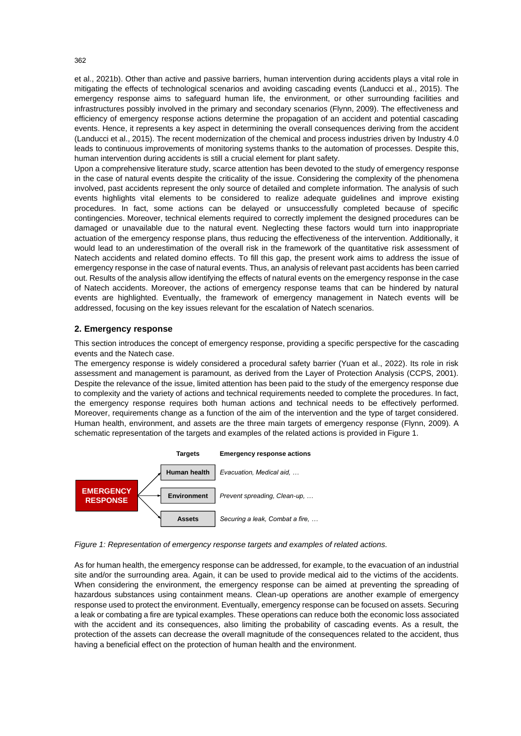et al., 2021b). Other than active and passive barriers, human intervention during accidents plays a vital role in mitigating the effects of technological scenarios and avoiding cascading events (Landucci et al., 2015). The emergency response aims to safeguard human life, the environment, or other surrounding facilities and infrastructures possibly involved in the primary and secondary scenarios (Flynn, 2009). The effectiveness and efficiency of emergency response actions determine the propagation of an accident and potential cascading events. Hence, it represents a key aspect in determining the overall consequences deriving from the accident (Landucci et al., 2015). The recent modernization of the chemical and process industries driven by Industry 4.0 leads to continuous improvements of monitoring systems thanks to the automation of processes. Despite this, human intervention during accidents is still a crucial element for plant safety.

Upon a comprehensive literature study, scarce attention has been devoted to the study of emergency response in the case of natural events despite the criticality of the issue. Considering the complexity of the phenomena involved, past accidents represent the only source of detailed and complete information. The analysis of such events highlights vital elements to be considered to realize adequate guidelines and improve existing procedures. In fact, some actions can be delayed or unsuccessfully completed because of specific contingencies. Moreover, technical elements required to correctly implement the designed procedures can be damaged or unavailable due to the natural event. Neglecting these factors would turn into inappropriate actuation of the emergency response plans, thus reducing the effectiveness of the intervention. Additionally, it would lead to an underestimation of the overall risk in the framework of the quantitative risk assessment of Natech accidents and related domino effects. To fill this gap, the present work aims to address the issue of emergency response in the case of natural events. Thus, an analysis of relevant past accidents has been carried out. Results of the analysis allow identifying the effects of natural events on the emergency response in the case of Natech accidents. Moreover, the actions of emergency response teams that can be hindered by natural events are highlighted. Eventually, the framework of emergency management in Natech events will be addressed, focusing on the key issues relevant for the escalation of Natech scenarios.

# **2. Emergency response**

This section introduces the concept of emergency response, providing a specific perspective for the cascading events and the Natech case.

The emergency response is widely considered a procedural safety barrier (Yuan et al., 2022). Its role in risk assessment and management is paramount, as derived from the Layer of Protection Analysis (CCPS, 2001). Despite the relevance of the issue, limited attention has been paid to the study of the emergency response due to complexity and the variety of actions and technical requirements needed to complete the procedures. In fact, the emergency response requires both human actions and technical needs to be effectively performed. Moreover, requirements change as a function of the aim of the intervention and the type of target considered. Human health, environment, and assets are the three main targets of emergency response (Flynn, 2009). A schematic representation of the targets and examples of the related actions is provided in Figure 1.



*Figure 1: Representation of emergency response targets and examples of related actions.*

As for human health, the emergency response can be addressed, for example, to the evacuation of an industrial site and/or the surrounding area. Again, it can be used to provide medical aid to the victims of the accidents. When considering the environment, the emergency response can be aimed at preventing the spreading of hazardous substances using containment means. Clean-up operations are another example of emergency response used to protect the environment. Eventually, emergency response can be focused on assets. Securing a leak or combating a fire are typical examples. These operations can reduce both the economic loss associated with the accident and its consequences, also limiting the probability of cascading events. As a result, the protection of the assets can decrease the overall magnitude of the consequences related to the accident, thus having a beneficial effect on the protection of human health and the environment.

362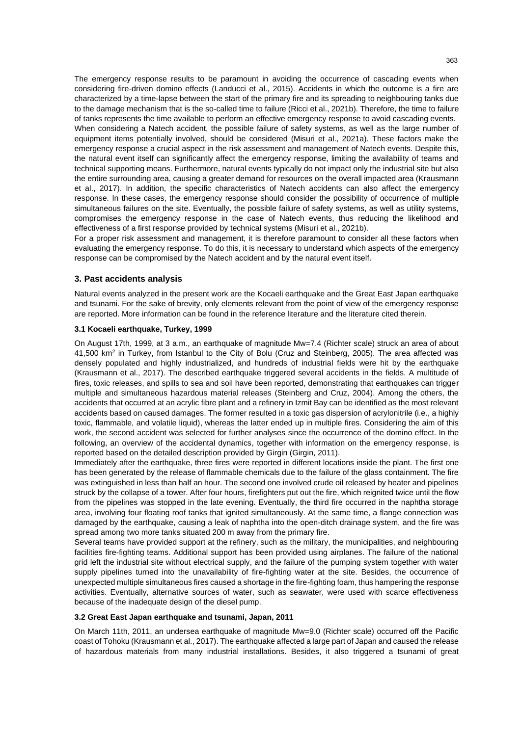The emergency response results to be paramount in avoiding the occurrence of cascading events when considering fire-driven domino effects (Landucci et al., 2015). Accidents in which the outcome is a fire are characterized by a time-lapse between the start of the primary fire and its spreading to neighbouring tanks due to the damage mechanism that is the so-called time to failure (Ricci et al., 2021b). Therefore, the time to failure of tanks represents the time available to perform an effective emergency response to avoid cascading events. When considering a Natech accident, the possible failure of safety systems, as well as the large number of

equipment items potentially involved, should be considered (Misuri et al., 2021a). These factors make the emergency response a crucial aspect in the risk assessment and management of Natech events. Despite this, the natural event itself can significantly affect the emergency response, limiting the availability of teams and technical supporting means. Furthermore, natural events typically do not impact only the industrial site but also the entire surrounding area, causing a greater demand for resources on the overall impacted area (Krausmann et al., 2017). In addition, the specific characteristics of Natech accidents can also affect the emergency response. In these cases, the emergency response should consider the possibility of occurrence of multiple simultaneous failures on the site. Eventually, the possible failure of safety systems, as well as utility systems, compromises the emergency response in the case of Natech events, thus reducing the likelihood and effectiveness of a first response provided by technical systems (Misuri et al., 2021b).

For a proper risk assessment and management, it is therefore paramount to consider all these factors when evaluating the emergency response. To do this, it is necessary to understand which aspects of the emergency response can be compromised by the Natech accident and by the natural event itself.

## **3. Past accidents analysis**

Natural events analyzed in the present work are the Kocaeli earthquake and the Great East Japan earthquake and tsunami. For the sake of brevity, only elements relevant from the point of view of the emergency response are reported. More information can be found in the reference literature and the literature cited therein.

## **3.1 Kocaeli earthquake, Turkey, 1999**

On August 17th, 1999, at 3 a.m., an earthquake of magnitude Mw=7.4 (Richter scale) struck an area of about 41,500 km<sup>2</sup> in Turkey, from Istanbul to the City of Bolu (Cruz and Steinberg, 2005). The area affected was densely populated and highly industrialized, and hundreds of industrial fields were hit by the earthquake (Krausmann et al., 2017). The described earthquake triggered several accidents in the fields. A multitude of fires, toxic releases, and spills to sea and soil have been reported, demonstrating that earthquakes can trigger multiple and simultaneous hazardous material releases (Steinberg and Cruz, 2004). Among the others, the accidents that occurred at an acrylic fibre plant and a refinery in Izmit Bay can be identified as the most relevant accidents based on caused damages. The former resulted in a toxic gas dispersion of acrylonitrile (i.e., a highly toxic, flammable, and volatile liquid), whereas the latter ended up in multiple fires. Considering the aim of this work, the second accident was selected for further analyses since the occurrence of the domino effect. In the following, an overview of the accidental dynamics, together with information on the emergency response, is reported based on the detailed description provided by Girgin (Girgin, 2011).

Immediately after the earthquake, three fires were reported in different locations inside the plant. The first one has been generated by the release of flammable chemicals due to the failure of the glass containment. The fire was extinguished in less than half an hour. The second one involved crude oil released by heater and pipelines struck by the collapse of a tower. After four hours, firefighters put out the fire, which reignited twice until the flow from the pipelines was stopped in the late evening. Eventually, the third fire occurred in the naphtha storage area, involving four floating roof tanks that ignited simultaneously. At the same time, a flange connection was damaged by the earthquake, causing a leak of naphtha into the open-ditch drainage system, and the fire was spread among two more tanks situated 200 m away from the primary fire.

Several teams have provided support at the refinery, such as the military, the municipalities, and neighbouring facilities fire-fighting teams. Additional support has been provided using airplanes. The failure of the national grid left the industrial site without electrical supply, and the failure of the pumping system together with water supply pipelines turned into the unavailability of fire-fighting water at the site. Besides, the occurrence of unexpected multiple simultaneous fires caused a shortage in the fire-fighting foam, thus hampering the response activities. Eventually, alternative sources of water, such as seawater, were used with scarce effectiveness because of the inadequate design of the diesel pump.

## **3.2 Great East Japan earthquake and tsunami, Japan, 2011**

On March 11th, 2011, an undersea earthquake of magnitude Mw=9.0 (Richter scale) occurred off the Pacific coast of Tohoku (Krausmann et al., 2017). The earthquake affected a large part of Japan and caused the release of hazardous materials from many industrial installations. Besides, it also triggered a tsunami of great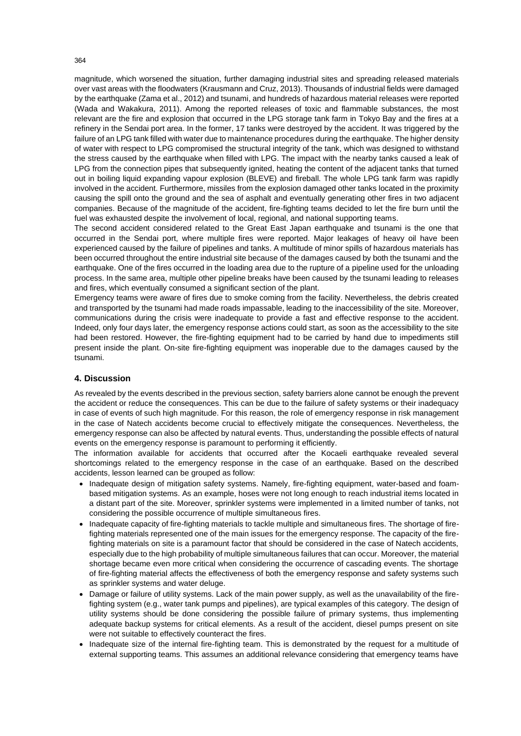magnitude, which worsened the situation, further damaging industrial sites and spreading released materials over vast areas with the floodwaters (Krausmann and Cruz, 2013). Thousands of industrial fields were damaged by the earthquake (Zama et al., 2012) and tsunami, and hundreds of hazardous material releases were reported (Wada and Wakakura, 2011). Among the reported releases of toxic and flammable substances, the most relevant are the fire and explosion that occurred in the LPG storage tank farm in Tokyo Bay and the fires at a refinery in the Sendai port area. In the former, 17 tanks were destroyed by the accident. It was triggered by the failure of an LPG tank filled with water due to maintenance procedures during the earthquake. The higher density of water with respect to LPG compromised the structural integrity of the tank, which was designed to withstand the stress caused by the earthquake when filled with LPG. The impact with the nearby tanks caused a leak of LPG from the connection pipes that subsequently ignited, heating the content of the adjacent tanks that turned out in boiling liquid expanding vapour explosion (BLEVE) and fireball. The whole LPG tank farm was rapidly involved in the accident. Furthermore, missiles from the explosion damaged other tanks located in the proximity causing the spill onto the ground and the sea of asphalt and eventually generating other fires in two adjacent companies. Because of the magnitude of the accident, fire-fighting teams decided to let the fire burn until the fuel was exhausted despite the involvement of local, regional, and national supporting teams.

The second accident considered related to the Great East Japan earthquake and tsunami is the one that occurred in the Sendai port, where multiple fires were reported. Major leakages of heavy oil have been experienced caused by the failure of pipelines and tanks. A multitude of minor spills of hazardous materials has been occurred throughout the entire industrial site because of the damages caused by both the tsunami and the earthquake. One of the fires occurred in the loading area due to the rupture of a pipeline used for the unloading process. In the same area, multiple other pipeline breaks have been caused by the tsunami leading to releases and fires, which eventually consumed a significant section of the plant.

Emergency teams were aware of fires due to smoke coming from the facility. Nevertheless, the debris created and transported by the tsunami had made roads impassable, leading to the inaccessibility of the site. Moreover, communications during the crisis were inadequate to provide a fast and effective response to the accident. Indeed, only four days later, the emergency response actions could start, as soon as the accessibility to the site had been restored. However, the fire-fighting equipment had to be carried by hand due to impediments still present inside the plant. On-site fire-fighting equipment was inoperable due to the damages caused by the tsunami.

## **4. Discussion**

As revealed by the events described in the previous section, safety barriers alone cannot be enough the prevent the accident or reduce the consequences. This can be due to the failure of safety systems or their inadequacy in case of events of such high magnitude. For this reason, the role of emergency response in risk management in the case of Natech accidents become crucial to effectively mitigate the consequences. Nevertheless, the emergency response can also be affected by natural events. Thus, understanding the possible effects of natural events on the emergency response is paramount to performing it efficiently.

The information available for accidents that occurred after the Kocaeli earthquake revealed several shortcomings related to the emergency response in the case of an earthquake. Based on the described accidents, lesson learned can be grouped as follow:

- Inadequate design of mitigation safety systems. Namely, fire-fighting equipment, water-based and foambased mitigation systems. As an example, hoses were not long enough to reach industrial items located in a distant part of the site. Moreover, sprinkler systems were implemented in a limited number of tanks, not considering the possible occurrence of multiple simultaneous fires.
- Inadequate capacity of fire-fighting materials to tackle multiple and simultaneous fires. The shortage of firefighting materials represented one of the main issues for the emergency response. The capacity of the firefighting materials on site is a paramount factor that should be considered in the case of Natech accidents, especially due to the high probability of multiple simultaneous failures that can occur. Moreover, the material shortage became even more critical when considering the occurrence of cascading events. The shortage of fire-fighting material affects the effectiveness of both the emergency response and safety systems such as sprinkler systems and water deluge.
- Damage or failure of utility systems. Lack of the main power supply, as well as the unavailability of the firefighting system (e.g., water tank pumps and pipelines), are typical examples of this category. The design of utility systems should be done considering the possible failure of primary systems, thus implementing adequate backup systems for critical elements. As a result of the accident, diesel pumps present on site were not suitable to effectively counteract the fires.
- Inadequate size of the internal fire-fighting team. This is demonstrated by the request for a multitude of external supporting teams. This assumes an additional relevance considering that emergency teams have

364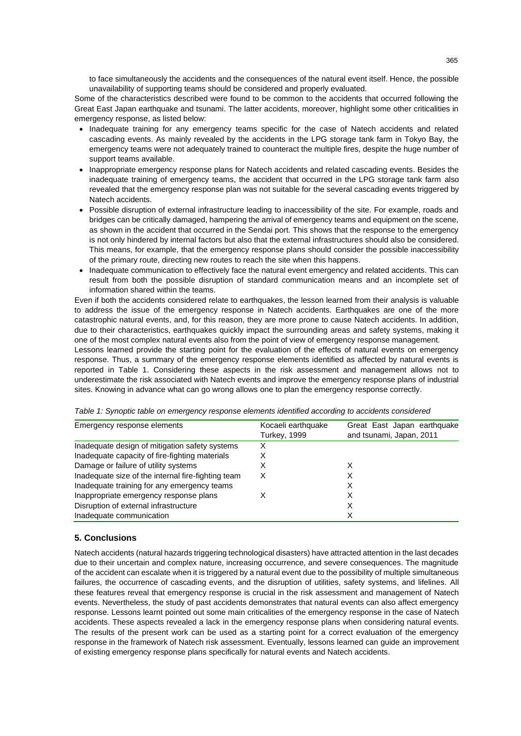to face simultaneously the accidents and the consequences of the natural event itself. Hence, the possible unavailability of supporting teams should be considered and properly evaluated.

Some of the characteristics described were found to be common to the accidents that occurred following the Great East Japan earthquake and tsunami. The latter accidents, moreover, highlight some other criticalities in emergency response, as listed below:

- Inadequate training for any emergency teams specific for the case of Natech accidents and related cascading events. As mainly revealed by the accidents in the LPG storage tank farm in Tokyo Bay, the emergency teams were not adequately trained to counteract the multiple fires, despite the huge number of support teams available.
- Inappropriate emergency response plans for Natech accidents and related cascading events. Besides the inadequate training of emergency teams, the accident that occurred in the LPG storage tank farm also revealed that the emergency response plan was not suitable for the several cascading events triggered by Natech accidents.
- Possible disruption of external infrastructure leading to inaccessibility of the site. For example, roads and bridges can be critically damaged, hampering the arrival of emergency teams and equipment on the scene, as shown in the accident that occurred in the Sendai port. This shows that the response to the emergency is not only hindered by internal factors but also that the external infrastructures should also be considered. This means, for example, that the emergency response plans should consider the possible inaccessibility of the primary route, directing new routes to reach the site when this happens.
- Inadequate communication to effectively face the natural event emergency and related accidents. This can result from both the possible disruption of standard communication means and an incomplete set of information shared within the teams.

Even if both the accidents considered relate to earthquakes, the lesson learned from their analysis is valuable to address the issue of the emergency response in Natech accidents. Earthquakes are one of the more catastrophic natural events, and, for this reason, they are more prone to cause Natech accidents. In addition, due to their characteristics, earthquakes quickly impact the surrounding areas and safety systems, making it one of the most complex natural events also from the point of view of emergency response management.

Lessons learned provide the starting point for the evaluation of the effects of natural events on emergency response. Thus, a summary of the emergency response elements identified as affected by natural events is reported in Table 1. Considering these aspects in the risk assessment and management allows not to underestimate the risk associated with Natech events and improve the emergency response plans of industrial sites. Knowing in advance what can go wrong allows one to plan the emergency response correctly.

| Emergency response elements                        | Kocaeli earthquake  | Great East Japan earthquake |
|----------------------------------------------------|---------------------|-----------------------------|
|                                                    | <b>Turkey, 1999</b> | and tsunami, Japan, 2011    |
| Inadequate design of mitigation safety systems     | х                   |                             |
| Inadequate capacity of fire-fighting materials     | х                   |                             |
| Damage or failure of utility systems               | Х                   |                             |
| Inadequate size of the internal fire-fighting team | х                   | х                           |
| Inadequate training for any emergency teams        |                     | х                           |
| Inappropriate emergency response plans             |                     |                             |
| Disruption of external infrastructure              |                     | х                           |
| Inadequate communication                           |                     | х                           |

|  | Table 1: Synoptic table on emergency response elements identified according to accidents considered |  |  |
|--|-----------------------------------------------------------------------------------------------------|--|--|
|--|-----------------------------------------------------------------------------------------------------|--|--|

# **5. Conclusions**

Natech accidents (natural hazards triggering technological disasters) have attracted attention in the last decades due to their uncertain and complex nature, increasing occurrence, and severe consequences. The magnitude of the accident can escalate when it is triggered by a natural event due to the possibility of multiple simultaneous failures, the occurrence of cascading events, and the disruption of utilities, safety systems, and lifelines. All these features reveal that emergency response is crucial in the risk assessment and management of Natech events. Nevertheless, the study of past accidents demonstrates that natural events can also affect emergency response. Lessons learnt pointed out some main criticalities of the emergency response in the case of Natech accidents. These aspects revealed a lack in the emergency response plans when considering natural events. The results of the present work can be used as a starting point for a correct evaluation of the emergency response in the framework of Natech risk assessment. Eventually, lessons learned can guide an improvement of existing emergency response plans specifically for natural events and Natech accidents.